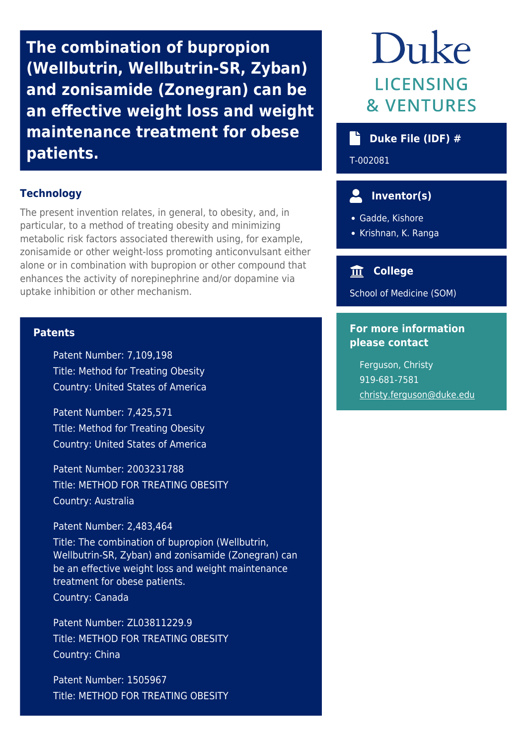**The combination of bupropion (Wellbutrin, Wellbutrin-SR, Zyban) and zonisamide (Zonegran) can be an effective weight loss and weight maintenance treatment for obese patients.**

### **Technology**

The present invention relates, in general, to obesity, and, in particular, to a method of treating obesity and minimizing metabolic risk factors associated therewith using, for example, zonisamide or other weight-loss promoting anticonvulsant either alone or in combination with bupropion or other compound that enhances the activity of norepinephrine and/or dopamine via uptake inhibition or other mechanism.

#### **Patents**

Patent Number: 7,109,198 Title: Method for Treating Obesity Country: United States of America

Patent Number: 7,425,571 Title: Method for Treating Obesity Country: United States of America

Patent Number: 2003231788 Title: METHOD FOR TREATING OBESITY Country: Australia

Patent Number: 2,483,464

Title: The combination of bupropion (Wellbutrin, Wellbutrin-SR, Zyban) and zonisamide (Zonegran) can be an effective weight loss and weight maintenance treatment for obese patients. Country: Canada

Patent Number: ZL03811229.9 Title: METHOD FOR TREATING OBESITY Country: China

Patent Number: 1505967 Title: METHOD FOR TREATING OBESITY

# Duke **LICENSING & VENTURES**

## **Duke File (IDF) #**

T-002081

# **Inventor(s)**

Gadde, Kishore

• Krishnan, K. Ranga

## **College**

School of Medicine (SOM)

## **For more information please contact**

Ferguson, Christy 919-681-7581 [christy.ferguson@duke.edu](mailto:christy.ferguson@duke.edu)